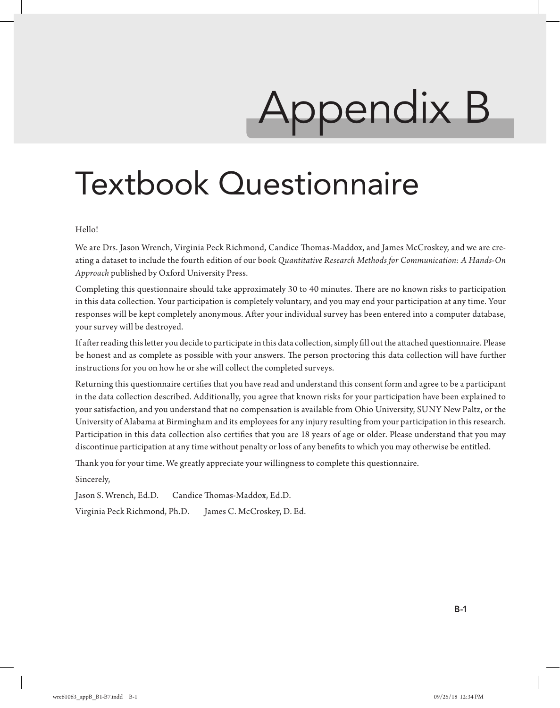# Appendix B

# Textbook Questionnaire

### Hello!

We are Drs. Jason Wrench, Virginia Peck Richmond, Candice Thomas-Maddox, and James McCroskey, and we are creating a dataset to include the fourth edition of our book *Quantitative Research Methods for Communication: A Hands-On Approach* published by Oxford University Press.

Completing this questionnaire should take approximately 30 to 40 minutes. There are no known risks to participation in this data collection. Your participation is completely voluntary, and you may end your participation at any time. Your responses will be kept completely anonymous. After your individual survey has been entered into a computer database, your survey will be destroyed.

If after reading this letter you decide to participate in this data collection, simply fill out the attached questionnaire. Please be honest and as complete as possible with your answers. The person proctoring this data collection will have further instructions for you on how he or she will collect the completed surveys.

Returning this questionnaire certifies that you have read and understand this consent form and agree to be a participant in the data collection described. Additionally, you agree that known risks for your participation have been explained to your satisfaction, and you understand that no compensation is available from Ohio University, SUNY New Paltz, or the University of Alabama at Birmingham and its employees for any injury resulting from your participation in this research. Participation in this data collection also certifies that you are 18 years of age or older. Please understand that you may discontinue participation at any time without penalty or loss of any benefits to which you may otherwise be entitled.

Thank you for your time. We greatly appreciate your willingness to complete this questionnaire.

Sincerely,

Jason S. Wrench, Ed.D. Candice Thomas-Maddox, Ed.D.

Virginia Peck Richmond, Ph.D. James C. McCroskey, D. Ed.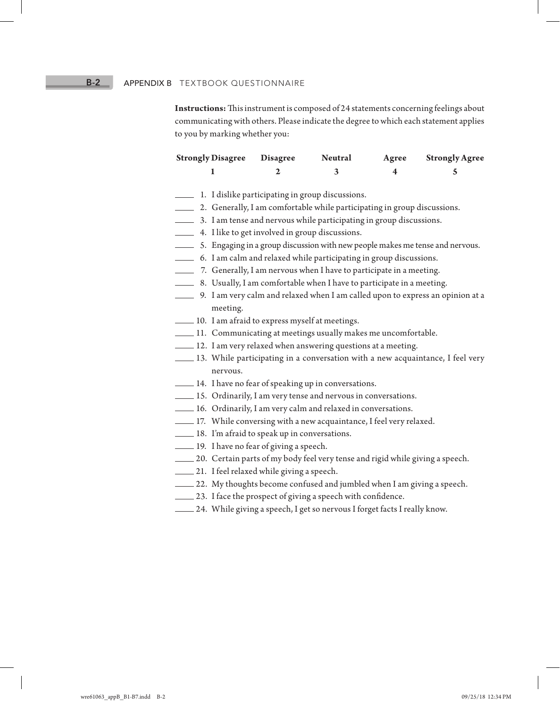# **B-2** APPENDIX B TEXTBOOK QUESTIONNAIRE

**Instructions:** This instrument is composed of 24 statements concerning feelings about communicating with others. Please indicate the degree to which each statement applies to you by marking whether you:

| <b>Strongly Disagree</b> Disagree | <b>Neutral</b> | Agree | <b>Strongly Agree</b> |
|-----------------------------------|----------------|-------|-----------------------|
|                                   |                |       |                       |

- 1. I dislike participating in group discussions.
- 2. Generally, I am comfortable while participating in group discussions.
- 3. I am tense and nervous while participating in group discussions.
- 4. I like to get involved in group discussions.
- 5. Engaging in a group discussion with new people makes me tense and nervous.
- 6. I am calm and relaxed while participating in group discussions.
- 7. Generally, I am nervous when I have to participate in a meeting.
- 8. Usually, I am comfortable when I have to participate in a meeting.
- 9. I am very calm and relaxed when I am called upon to express an opinion at a meeting.
- 10. I am afraid to express myself at meetings.
- 11. Communicating at meetings usually makes me uncomfortable.
- $\pm$  12. I am very relaxed when answering questions at a meeting.
- 13. While participating in a conversation with a new acquaintance, I feel very nervous.
- 14. I have no fear of speaking up in conversations.
- 15. Ordinarily, I am very tense and nervous in conversations.
- 16. Ordinarily, I am very calm and relaxed in conversations.
- 17. While conversing with a new acquaintance, I feel very relaxed.
- 18. I'm afraid to speak up in conversations.
- 19. I have no fear of giving a speech.
- 20. Certain parts of my body feel very tense and rigid while giving a speech.
- 21. I feel relaxed while giving a speech.
- 22. My thoughts become confused and jumbled when I am giving a speech.
- $-23$ . I face the prospect of giving a speech with confidence.
- 24. While giving a speech, I get so nervous I forget facts I really know.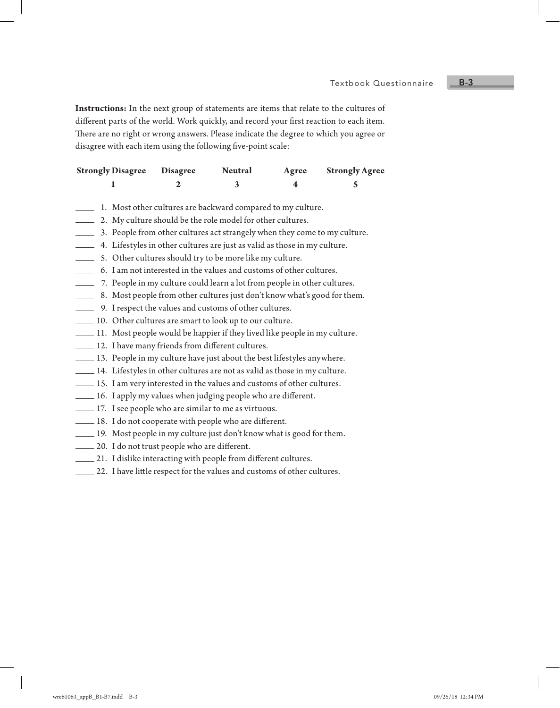**Instructions:** In the next group of statements are items that relate to the cultures of different parts of the world. Work quickly, and record your first reaction to each item. There are no right or wrong answers. Please indicate the degree to which you agree or disagree with each item using the following five-point scale:

| <b>Strongly Disagree Disagree</b> | <b>Neutral</b> | Agree | <b>Strongly Agree</b> |
|-----------------------------------|----------------|-------|-----------------------|
|                                   |                |       |                       |

- 1. Most other cultures are backward compared to my culture.
- 2. My culture should be the role model for other cultures.
- 3. People from other cultures act strangely when they come to my culture.
- 4. Lifestyles in other cultures are just as valid as those in my culture.
- 5. Other cultures should try to be more like my culture.
- 6. I am not interested in the values and customs of other cultures.
- 7. People in my culture could learn a lot from people in other cultures.
- 8. Most people from other cultures just don't know what's good for them.
- 9. I respect the values and customs of other cultures.
- 10. Other cultures are smart to look up to our culture.
- 11. Most people would be happier if they lived like people in my culture.
- 12. I have many friends from different cultures.
- 13. People in my culture have just about the best lifestyles anywhere.
- 14. Lifestyles in other cultures are not as valid as those in my culture.
- 15. I am very interested in the values and customs of other cultures.
- 16. I apply my values when judging people who are different.
- 17. I see people who are similar to me as virtuous.
- 18. I do not cooperate with people who are different.
- 19. Most people in my culture just don't know what is good for them.
- 20. I do not trust people who are different.
- $\equiv$  21. I dislike interacting with people from different cultures.
- 22. I have little respect for the values and customs of other cultures.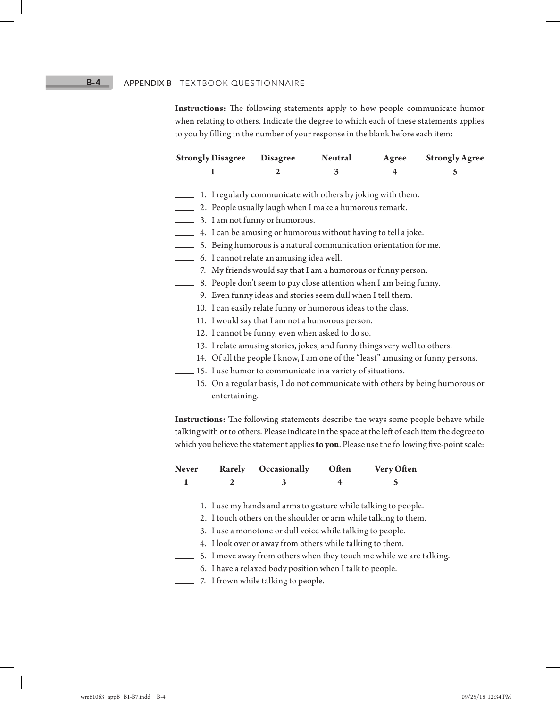# **B-4** APPENDIX B TEXTBOOK QUESTIONNAIRE

**Instructions:** The following statements apply to how people communicate humor when relating to others. Indicate the degree to which each of these statements applies to you by filling in the number of your response in the blank before each item:

| <b>Strongly Disagree</b> Disagree | <b>Neutral</b> | Agree | <b>Strongly Agree</b> |
|-----------------------------------|----------------|-------|-----------------------|
|                                   |                |       |                       |

- 1. I regularly communicate with others by joking with them.
- 2. People usually laugh when I make a humorous remark.
- 3. I am not funny or humorous.
- 4. I can be amusing or humorous without having to tell a joke.
- 5. Being humorous is a natural communication orientation for me.
- 6. I cannot relate an amusing idea well.
- 7. My friends would say that I am a humorous or funny person.
- 8. People don't seem to pay close attention when I am being funny.
- 9. Even funny ideas and stories seem dull when I tell them.
- 10. I can easily relate funny or humorous ideas to the class.
- 11. I would say that I am not a humorous person.
- 12. I cannot be funny, even when asked to do so.
- 13. I relate amusing stories, jokes, and funny things very well to others.
- 14. Of all the people I know, I am one of the "least" amusing or funny persons.
- 15. I use humor to communicate in a variety of situations.
- 16. On a regular basis, I do not communicate with others by being humorous or entertaining.

**Instructions:** The following statements describe the ways some people behave while talking with or to others. Please indicate in the space at the left of each item the degree to which you believe the statement applies **to you**. Please use the following five-point scale:

| <b>Never</b>             | <b>Rarely</b> | Occasionally                                                   | Often | Very Often                                                          |
|--------------------------|---------------|----------------------------------------------------------------|-------|---------------------------------------------------------------------|
| 1                        | 2             | 3                                                              | 4     | 5                                                                   |
|                          |               | 1. I use my hands and arms to gesture while talking to people. |       |                                                                     |
|                          |               |                                                                |       | 2. I touch others on the shoulder or arm while talking to them.     |
|                          |               | 3. I use a monotone or dull voice while talking to people.     |       |                                                                     |
| $\overline{\phantom{a}}$ |               | 4. I look over or away from others while talking to them.      |       |                                                                     |
|                          |               |                                                                |       | 5. I move away from others when they touch me while we are talking. |
|                          |               | 6. I have a relaxed body position when I talk to people.       |       |                                                                     |
|                          |               | - 7. I frown while talking to people.                          |       |                                                                     |
|                          |               |                                                                |       |                                                                     |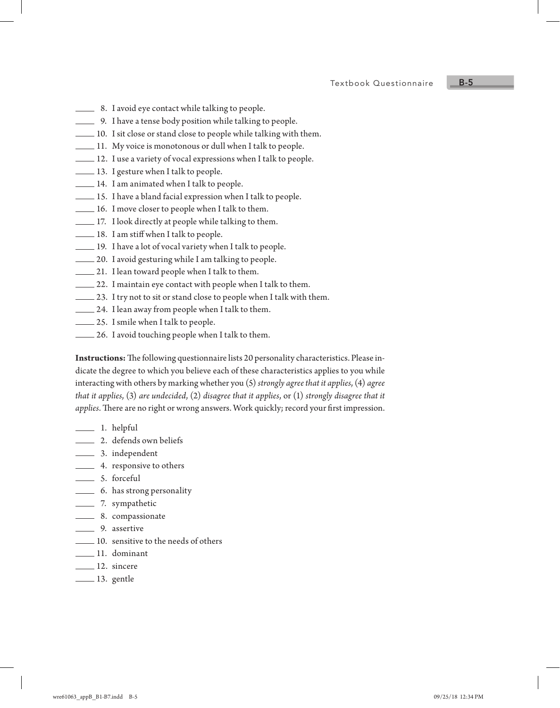Textbook Questionnaire B-5

- **EXECUTE:** 8. I avoid eye contact while talking to people.
- 9. I have a tense body position while talking to people.
- 10. I sit close or stand close to people while talking with them.
- 11. My voice is monotonous or dull when I talk to people.
- $\perp$  12. I use a variety of vocal expressions when I talk to people.
- 13. I gesture when I talk to people.
- 14. I am animated when I talk to people.
- 15. I have a bland facial expression when I talk to people.
- 16. I move closer to people when I talk to them.
- 17. I look directly at people while talking to them.
- $\perp$  18. I am stiff when I talk to people.
- 19. I have a lot of vocal variety when I talk to people.
- 20. I avoid gesturing while I am talking to people.
- 21. I lean toward people when I talk to them.
- 22. I maintain eye contact with people when I talk to them.
- 23. I try not to sit or stand close to people when I talk with them.
- 24. I lean away from people when I talk to them.
- 25. I smile when I talk to people.
- 26. I avoid touching people when I talk to them.

**Instructions:** The following questionnaire lists 20 personality characteristics. Please indicate the degree to which you believe each of these characteristics applies to you while interacting with others by marking whether you (5) *strongly agree that it applies*, (4) *agree that it applies*, (3) *are undecided*, (2) *disagree that it applies*, or (1) *strongly disagree that it applies*. There are no right or wrong answers. Work quickly; record your first impression.

- 1. helpful
- 2. defends own beliefs
- 3. independent
- 4. responsive to others
- 5. forceful
- 6. has strong personality
- 7. sympathetic
- 8. compassionate
- 9. assertive
- 10. sensitive to the needs of others
- 11. dominant
- 12. sincere
- **13.** gentle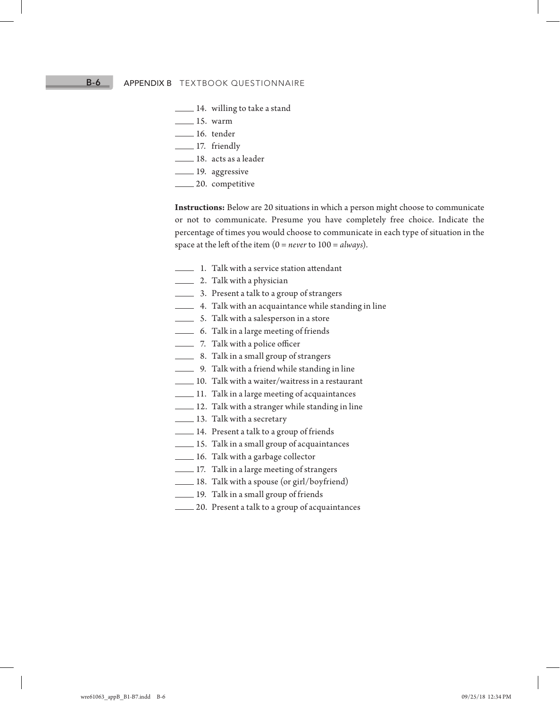# B-6 APPENDIX B TEXTBOOK QUESTIONNAIRE

- **14.** willing to take a stand
- $15.$  warm
- 16. tender
- **17.** friendly
- 18. acts as a leader
- **19.** aggressive
- **20.** competitive

**Instructions:** Below are 20 situations in which a person might choose to communicate or not to communicate. Presume you have completely free choice. Indicate the percentage of times you would choose to communicate in each type of situation in the space at the left of the item (0 = *never* to 100 = *always*).

- 1. Talk with a service station attendant
- **2.** Talk with a physician
- **3.** Present a talk to a group of strangers
- 4. Talk with an acquaintance while standing in line
- 5. Talk with a salesperson in a store
- 6. Talk in a large meeting of friends
- **2. Talk with a police officer**
- **8.** Talk in a small group of strangers
- 9. Talk with a friend while standing in line
- 10. Talk with a waiter/waitress in a restaurant
- 11. Talk in a large meeting of acquaintances
- $\equiv$  12. Talk with a stranger while standing in line
- $-13.$  Talk with a secretary
- 14. Present a talk to a group of friends
- 15. Talk in a small group of acquaintances
- 16. Talk with a garbage collector
- 17. Talk in a large meeting of strangers
- 18. Talk with a spouse (or girl/boyfriend)
- 19. Talk in a small group of friends
- 20. Present a talk to a group of acquaintances

wre61063\_appB\_B1-B7.indd B-6 09/25/18 12:34 PM